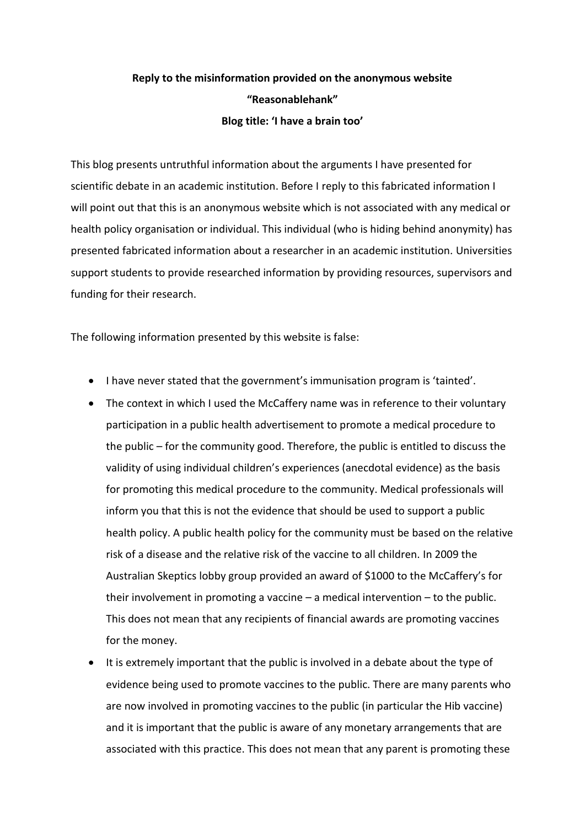## **Reply to the misinformation provided on the anonymous website "Reasonablehank" Blog title: 'I have a brain too'**

This blog presents untruthful information about the arguments I have presented for scientific debate in an academic institution. Before I reply to this fabricated information I will point out that this is an anonymous website which is not associated with any medical or health policy organisation or individual. This individual (who is hiding behind anonymity) has presented fabricated information about a researcher in an academic institution. Universities support students to provide researched information by providing resources, supervisors and funding for their research.

The following information presented by this website is false:

- I have never stated that the government's immunisation program is 'tainted'.
- The context in which I used the McCaffery name was in reference to their voluntary participation in a public health advertisement to promote a medical procedure to the public – for the community good. Therefore, the public is entitled to discuss the validity of using individual children's experiences (anecdotal evidence) as the basis for promoting this medical procedure to the community. Medical professionals will inform you that this is not the evidence that should be used to support a public health policy. A public health policy for the community must be based on the relative risk of a disease and the relative risk of the vaccine to all children. In 2009 the Australian Skeptics lobby group provided an award of \$1000 to the McCaffery's for their involvement in promoting a vaccine – a medical intervention – to the public. This does not mean that any recipients of financial awards are promoting vaccines for the money.
- It is extremely important that the public is involved in a debate about the type of evidence being used to promote vaccines to the public. There are many parents who are now involved in promoting vaccines to the public (in particular the Hib vaccine) and it is important that the public is aware of any monetary arrangements that are associated with this practice. This does not mean that any parent is promoting these